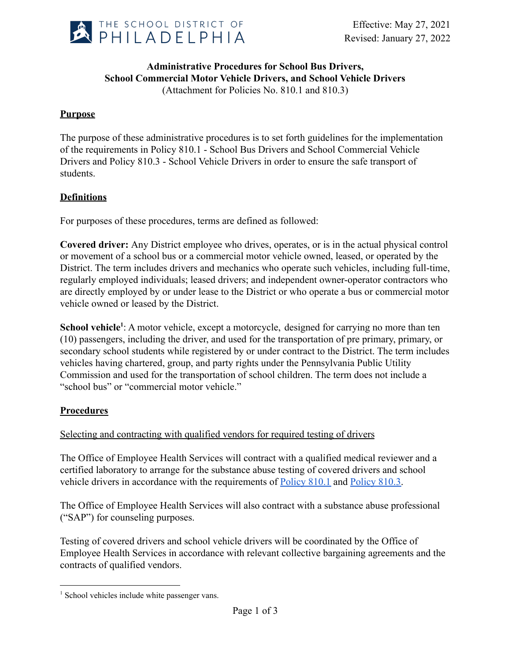

### **Administrative Procedures for School Bus Drivers, School Commercial Motor Vehicle Drivers, and School Vehicle Drivers** (Attachment for Policies No. 810.1 and 810.3)

# **Purpose**

The purpose of these administrative procedures is to set forth guidelines for the implementation of the requirements in Policy 810.1 - School Bus Drivers and School Commercial Vehicle Drivers and Policy 810.3 - School Vehicle Drivers in order to ensure the safe transport of students.

## **Definitions**

For purposes of these procedures, terms are defined as followed:

**Covered driver:** Any District employee who drives, operates, or is in the actual physical control or movement of a school bus or a commercial motor vehicle owned, leased, or operated by the District. The term includes drivers and mechanics who operate such vehicles, including full-time, regularly employed individuals; leased drivers; and independent owner-operator contractors who are directly employed by or under lease to the District or who operate a bus or commercial motor vehicle owned or leased by the District.

**School vehicle**<sup>1</sup>: A motor vehicle, except a motorcycle, designed for carrying no more than ten (10) passengers, including the driver, and used for the transportation of pre primary, primary, or secondary school students while registered by or under contract to the District. The term includes vehicles having chartered, group, and party rights under the Pennsylvania Public Utility Commission and used for the transportation of school children. The term does not include a "school bus" or "commercial motor vehicle."

## **Procedures**

## Selecting and contracting with qualified vendors for required testing of drivers

The Office of Employee Health Services will contract with a qualified medical reviewer and a certified laboratory to arrange for the substance abuse testing of covered drivers and school vehicle drivers in accordance with the requirements of [Policy 810.1](https://www.philasd.org/schoolboard/policies/) and [Policy 810.3.](https://www.philasd.org/schoolboard/policies/)

The Office of Employee Health Services will also contract with a substance abuse professional ("SAP") for counseling purposes.

Testing of covered drivers and school vehicle drivers will be coordinated by the Office of Employee Health Services in accordance with relevant collective bargaining agreements and the contracts of qualified vendors.

<sup>&</sup>lt;sup>1</sup> School vehicles include white passenger vans.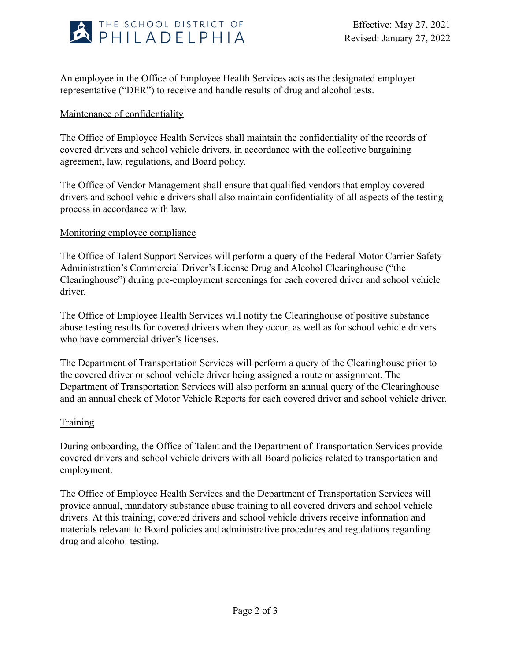

An employee in the Office of Employee Health Services acts as the designated employer representative ("DER") to receive and handle results of drug and alcohol tests.

### Maintenance of confidentiality

The Office of Employee Health Services shall maintain the confidentiality of the records of covered drivers and school vehicle drivers, in accordance with the collective bargaining agreement, law, regulations, and Board policy.

The Office of Vendor Management shall ensure that qualified vendors that employ covered drivers and school vehicle drivers shall also maintain confidentiality of all aspects of the testing process in accordance with law.

### Monitoring employee compliance

The Office of Talent Support Services will perform a query of the Federal Motor Carrier Safety Administration's Commercial Driver's License Drug and Alcohol Clearinghouse ("the Clearinghouse") during pre-employment screenings for each covered driver and school vehicle driver.

The Office of Employee Health Services will notify the Clearinghouse of positive substance abuse testing results for covered drivers when they occur, as well as for school vehicle drivers who have commercial driver's licenses.

The Department of Transportation Services will perform a query of the Clearinghouse prior to the covered driver or school vehicle driver being assigned a route or assignment. The Department of Transportation Services will also perform an annual query of the Clearinghouse and an annual check of Motor Vehicle Reports for each covered driver and school vehicle driver.

#### **Training**

During onboarding, the Office of Talent and the Department of Transportation Services provide covered drivers and school vehicle drivers with all Board policies related to transportation and employment.

The Office of Employee Health Services and the Department of Transportation Services will provide annual, mandatory substance abuse training to all covered drivers and school vehicle drivers. At this training, covered drivers and school vehicle drivers receive information and materials relevant to Board policies and administrative procedures and regulations regarding drug and alcohol testing.